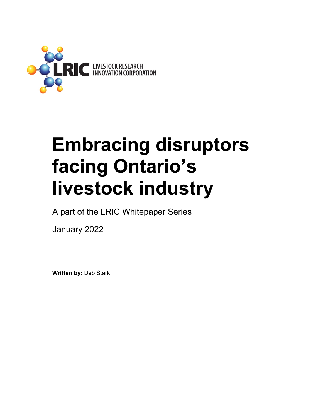

## **Embracing disruptors facing Ontario's livestock industry**

A part of the LRIC Whitepaper Series

January 2022

**Written by:** Deb Stark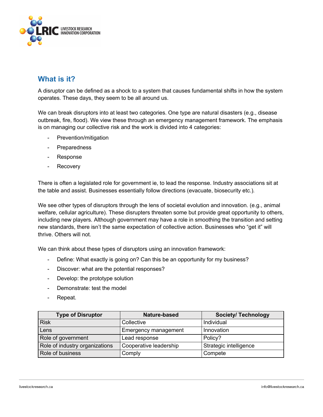

## **What is it?**

A disruptor can be defined as a shock to a system that causes fundamental shifts in how the system operates. These days, they seem to be all around us.

We can break disruptors into at least two categories. One type are natural disasters (e.g., disease outbreak, fire, flood). We view these through an emergency management framework. The emphasis is on managing our collective risk and the work is divided into 4 categories:

- Prevention/mitigation
- **Preparedness**
- Response
- Recovery

There is often a legislated role for government ie, to lead the response. Industry associations sit at the table and assist. Businesses essentially follow directions (evacuate, biosecurity etc.).

We see other types of disruptors through the lens of societal evolution and innovation. (e.g., animal welfare, cellular agriculture). These disrupters threaten some but provide great opportunity to others, including new players. Although government may have a role in smoothing the transition and setting new standards, there isn't the same expectation of collective action. Businesses who "get it" will thrive. Others will not.

We can think about these types of disruptors using an innovation framework:

- Define: What exactly is going on? Can this be an opportunity for my business?
- Discover: what are the potential responses?
- Develop: the prototype solution
- Demonstrate: test the model
- Repeat.

| <b>Type of Disruptor</b>       | Nature-based           | <b>Society/ Technology</b> |
|--------------------------------|------------------------|----------------------------|
| <b>Risk</b>                    | Collective             | Individual                 |
| Lens                           | Emergency management   | Innovation                 |
| Role of government             | Lead response          | Policy?                    |
| Role of industry organizations | Cooperative leadership | Strategic intelligence     |
| Role of business               | Comply                 | Compete                    |